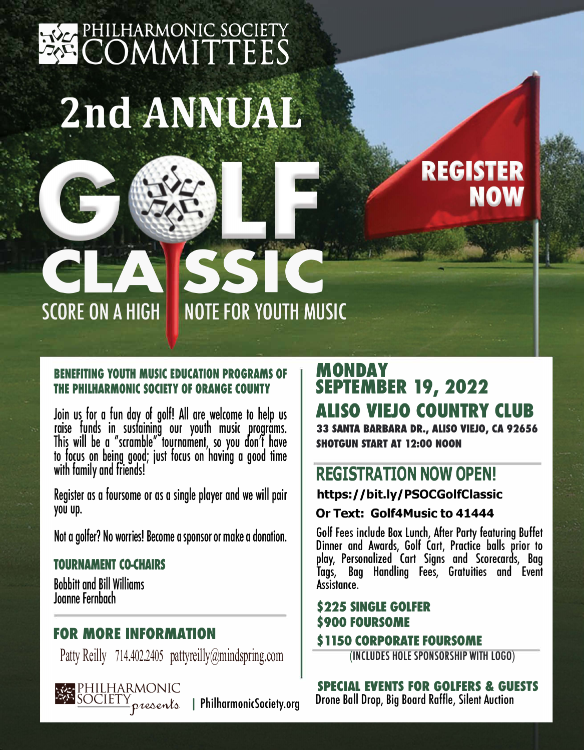## **RICA PHILHARMONIC SOCIETY EXECOMMITTEES 2nd ANNUAL**

# REGISTER

## **BENEFITING YOUTH MUSIC EDUCATION PROGRAMS OF THE PHILHARMONIC SOCIETY OF ORANGE COUNTY**

CLASSIC

**SCORE ON A HIGH NOTE FOR YOUTH MUSIC** 

Join us for a fun day of golf! All are welcome to help us raise funds in sustaining our youth music programs. This will be a "scramble" tournament, so you don't have to focus on being good; just focus on having a good time with family and friends!

Register as a foursome or as a single player and we will pair you up.

Not a golfer? No worries! Become a sponsor or make a donation.

### TOURNAMENT CO-CHAIRS

Bobbitt and Bill Williams Joanne Fernbach

## **FOR MORE INFORMATION**

Patty Reilly 714.402.2405 [pattyreilly@mindspring.com](mailto:pattyreilly@mindspring.com)

## **MONDAY SEPTEMBER 19, 2022 ALISO VIEJO COUNTRY CLUB 33 SANTA BARBARA DR., ALISO VIEJO, CA 92656**

**SHOTGUN START AT 12:00 NOON** 

## **REGISTRATION NOW OPEN!**

**https://bit.ly/P[SOCG](https://bit.ly/PSOCGolfClassic)olfClassic** 

### **Or Text: Golf4Music to 41444**

Golf Fees include Box Lunch, After Party featuring Buffet Dinner and Awards, Golf Cart, Practice balls prior to play, Personalized Cart Signs and Scorecards, Bag Tags, Bag Handling Fees, Gratuities and Event Assistance.

## **\$225 SINGLE GOLFER** \$ 900 FOURSOME

#### \$1150 CORPORATE FOURSOME

(INCLUDES HOLESPONSORSHIP WITH LOGO)

SPECIAL EVENTS FOR GOLFERS & GUESTS  $I_{\mathcal{D}}$   $\alpha$   $\alpha$   $\alpha$   $\beta$   $\beta$  PhilharmonicSociety.org Drone Ball Drop, Big Board Raffle, Silent Auction

PHILHARMONIC<br>SOCIETY